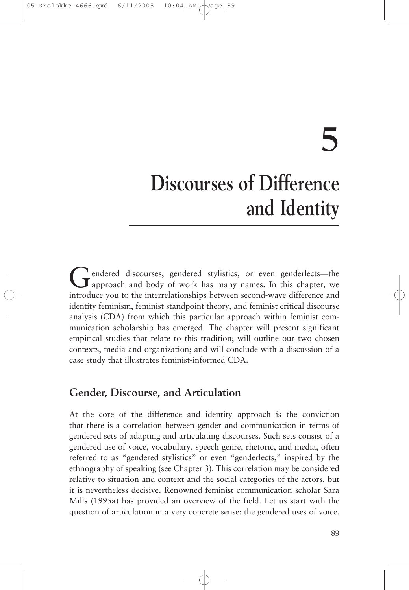# **5**

# **Discourses of Difference and Identity**

Gendered discourses, gendered stylistics, or even genderlects—the approach and body of work has many names. In this chapter, we introduce you to the interrelationships between second-wave difference and identity feminism, feminist standpoint theory, and feminist critical discourse analysis (CDA) from which this particular approach within feminist communication scholarship has emerged. The chapter will present significant empirical studies that relate to this tradition; will outline our two chosen contexts, media and organization; and will conclude with a discussion of a case study that illustrates feminist-informed CDA.

# **Gender, Discourse, and Articulation**

At the core of the difference and identity approach is the conviction that there is a correlation between gender and communication in terms of gendered sets of adapting and articulating discourses. Such sets consist of a gendered use of voice, vocabulary, speech genre, rhetoric, and media, often referred to as "gendered stylistics" or even "genderlects," inspired by the ethnography of speaking (see Chapter 3). This correlation may be considered relative to situation and context and the social categories of the actors, but it is nevertheless decisive. Renowned feminist communication scholar Sara Mills (1995a) has provided an overview of the field. Let us start with the question of articulation in a very concrete sense: the gendered uses of voice.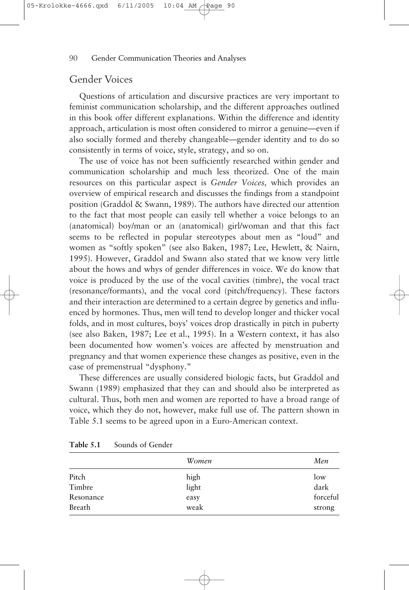## Gender Voices

Questions of articulation and discursive practices are very important to feminist communication scholarship, and the different approaches outlined in this book offer different explanations. Within the difference and identity approach, articulation is most often considered to mirror a genuine—even if also socially formed and thereby changeable—gender identity and to do so consistently in terms of voice, style, strategy, and so on.

The use of voice has not been sufficiently researched within gender and communication scholarship and much less theorized. One of the main resources on this particular aspect is *Gender Voices,* which provides an overview of empirical research and discusses the findings from a standpoint position (Graddol & Swann, 1989). The authors have directed our attention to the fact that most people can easily tell whether a voice belongs to an (anatomical) boy/man or an (anatomical) girl/woman and that this fact seems to be reflected in popular stereotypes about men as "loud" and women as "softly spoken" (see also Baken, 1987; Lee, Hewlett, & Nairn, 1995). However, Graddol and Swann also stated that we know very little about the hows and whys of gender differences in voice. We do know that voice is produced by the use of the vocal cavities (timbre), the vocal tract (resonance/formants), and the vocal cord (pitch/frequency). These factors and their interaction are determined to a certain degree by genetics and influenced by hormones. Thus, men will tend to develop longer and thicker vocal folds, and in most cultures, boys' voices drop drastically in pitch in puberty (see also Baken, 1987; Lee et al., 1995). In a Western context, it has also been documented how women's voices are affected by menstruation and pregnancy and that women experience these changes as positive, even in the case of premenstrual "dysphony."

These differences are usually considered biologic facts, but Graddol and Swann (1989) emphasized that they can and should also be interpreted as cultural. Thus, both men and women are reported to have a broad range of voice, which they do not, however, make full use of. The pattern shown in Table 5.1 seems to be agreed upon in a Euro-American context.

|           | Women | Men      |
|-----------|-------|----------|
| Pitch     | high  | low      |
| Timbre    | light | dark     |
| Resonance | easy  | forceful |
| Breath    | weak  | strong   |

| Table 5.1<br>Sounds of Gender |
|-------------------------------|
|-------------------------------|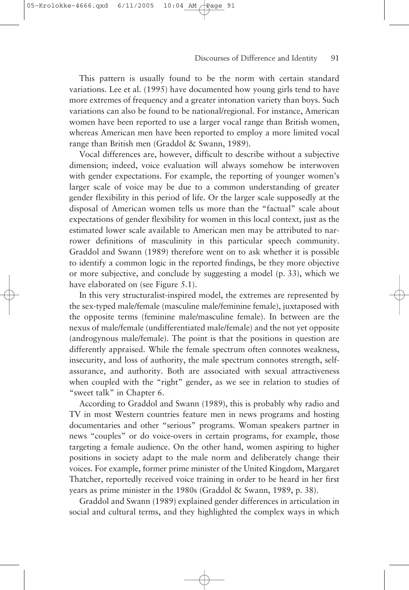This pattern is usually found to be the norm with certain standard variations. Lee et al. (1995) have documented how young girls tend to have more extremes of frequency and a greater intonation variety than boys. Such variations can also be found to be national/regional. For instance, American women have been reported to use a larger vocal range than British women, whereas American men have been reported to employ a more limited vocal range than British men (Graddol & Swann, 1989).

05-Krolokke-4666.qxd

Vocal differences are, however, difficult to describe without a subjective dimension; indeed, voice evaluation will always somehow be interwoven with gender expectations. For example, the reporting of younger women's larger scale of voice may be due to a common understanding of greater gender flexibility in this period of life. Or the larger scale supposedly at the disposal of American women tells us more than the "factual" scale about expectations of gender flexibility for women in this local context, just as the estimated lower scale available to American men may be attributed to narrower definitions of masculinity in this particular speech community. Graddol and Swann (1989) therefore went on to ask whether it is possible to identify a common logic in the reported findings, be they more objective or more subjective, and conclude by suggesting a model (p. 33), which we have elaborated on (see Figure 5.1).

In this very structuralist-inspired model, the extremes are represented by the sex-typed male/female (masculine male/feminine female), juxtaposed with the opposite terms (feminine male/masculine female). In between are the nexus of male/female (undifferentiated male/female) and the not yet opposite (androgynous male/female). The point is that the positions in question are differently appraised. While the female spectrum often connotes weakness, insecurity, and loss of authority, the male spectrum connotes strength, selfassurance, and authority. Both are associated with sexual attractiveness when coupled with the "right" gender, as we see in relation to studies of "sweet talk" in Chapter 6.

According to Graddol and Swann (1989), this is probably why radio and TV in most Western countries feature men in news programs and hosting documentaries and other "serious" programs. Woman speakers partner in news "couples" or do voice-overs in certain programs, for example, those targeting a female audience. On the other hand, women aspiring to higher positions in society adapt to the male norm and deliberately change their voices. For example, former prime minister of the United Kingdom, Margaret Thatcher, reportedly received voice training in order to be heard in her first years as prime minister in the 1980s (Graddol & Swann, 1989, p. 38).

Graddol and Swann (1989) explained gender differences in articulation in social and cultural terms, and they highlighted the complex ways in which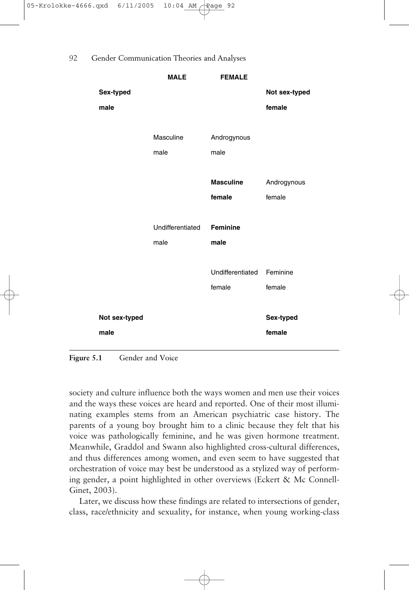|               | <b>MALE</b>      | <b>FEMALE</b>             |               |
|---------------|------------------|---------------------------|---------------|
| Sex-typed     |                  |                           | Not sex-typed |
| male          |                  |                           | female        |
|               |                  |                           |               |
|               | Masculine        | Androgynous               |               |
|               | male             | male                      |               |
|               |                  |                           |               |
|               |                  | <b>Masculine</b>          | Androgynous   |
|               |                  | female                    | female        |
|               |                  |                           |               |
|               | Undifferentiated | <b>Feminine</b>           |               |
|               | male             | male                      |               |
|               |                  |                           |               |
|               |                  | Undifferentiated Feminine |               |
|               |                  | female                    | female        |
|               |                  |                           |               |
|               |                  |                           |               |
| Not sex-typed |                  |                           | Sex-typed     |
| male          |                  |                           | female        |

Figure 5.1 Gender and Voice

society and culture influence both the ways women and men use their voices and the ways these voices are heard and reported. One of their most illuminating examples stems from an American psychiatric case history. The parents of a young boy brought him to a clinic because they felt that his voice was pathologically feminine, and he was given hormone treatment. Meanwhile, Graddol and Swann also highlighted cross-cultural differences, and thus differences among women, and even seem to have suggested that orchestration of voice may best be understood as a stylized way of performing gender, a point highlighted in other overviews (Eckert & Mc Connell-Ginet, 2003).

Later, we discuss how these findings are related to intersections of gender, class, race/ethnicity and sexuality, for instance, when young working-class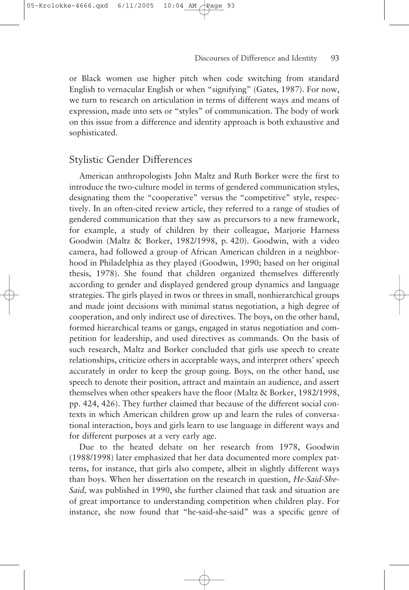or Black women use higher pitch when code switching from standard English to vernacular English or when "signifying" (Gates, 1987). For now, we turn to research on articulation in terms of different ways and means of expression, made into sets or "styles" of communication. The body of work on this issue from a difference and identity approach is both exhaustive and sophisticated.

### Stylistic Gender Differences

05-Krolokke-4666.qxd  $6/11/2005$  10:04 AM Rage

American anthropologists John Maltz and Ruth Borker were the first to introduce the two-culture model in terms of gendered communication styles, designating them the "cooperative" versus the "competitive" style, respectively. In an often-cited review article, they referred to a range of studies of gendered communication that they saw as precursors to a new framework, for example, a study of children by their colleague, Marjorie Harness Goodwin (Maltz & Borker, 1982/1998, p. 420). Goodwin, with a video camera, had followed a group of African American children in a neighborhood in Philadelphia as they played (Goodwin, 1990; based on her original thesis, 1978). She found that children organized themselves differently according to gender and displayed gendered group dynamics and language strategies. The girls played in twos or threes in small, nonhierarchical groups and made joint decisions with minimal status negotiation, a high degree of cooperation, and only indirect use of directives. The boys, on the other hand, formed hierarchical teams or gangs, engaged in status negotiation and competition for leadership, and used directives as commands. On the basis of such research, Maltz and Borker concluded that girls use speech to create relationships, criticize others in acceptable ways, and interpret others' speech accurately in order to keep the group going. Boys, on the other hand, use speech to denote their position, attract and maintain an audience, and assert themselves when other speakers have the floor (Maltz & Borker, 1982/1998, pp. 424, 426). They further claimed that because of the different social contexts in which American children grow up and learn the rules of conversational interaction, boys and girls learn to use language in different ways and for different purposes at a very early age.

Due to the heated debate on her research from 1978, Goodwin (1988/1998) later emphasized that her data documented more complex patterns, for instance, that girls also compete, albeit in slightly different ways than boys. When her dissertation on the research in question, *He-Said-She-Said,* was published in 1990, she further claimed that task and situation are of great importance to understanding competition when children play. For instance, she now found that "he-said-she-said" was a specific genre of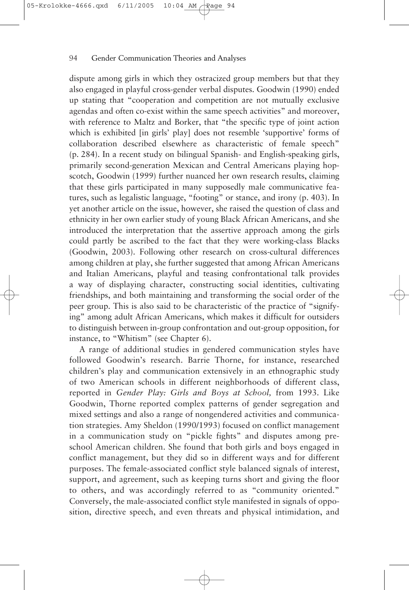dispute among girls in which they ostracized group members but that they also engaged in playful cross-gender verbal disputes. Goodwin (1990) ended up stating that "cooperation and competition are not mutually exclusive agendas and often co-exist within the same speech activities" and moreover, with reference to Maltz and Borker, that "the specific type of joint action which is exhibited [in girls' play] does not resemble 'supportive' forms of collaboration described elsewhere as characteristic of female speech" (p. 284). In a recent study on bilingual Spanish- and English-speaking girls, primarily second-generation Mexican and Central Americans playing hopscotch, Goodwin (1999) further nuanced her own research results, claiming that these girls participated in many supposedly male communicative features, such as legalistic language, "footing" or stance, and irony (p. 403). In yet another article on the issue, however, she raised the question of class and ethnicity in her own earlier study of young Black African Americans, and she introduced the interpretation that the assertive approach among the girls could partly be ascribed to the fact that they were working-class Blacks (Goodwin, 2003). Following other research on cross-cultural differences among children at play, she further suggested that among African Americans and Italian Americans, playful and teasing confrontational talk provides a way of displaying character, constructing social identities, cultivating friendships, and both maintaining and transforming the social order of the peer group. This is also said to be characteristic of the practice of "signifying" among adult African Americans, which makes it difficult for outsiders to distinguish between in-group confrontation and out-group opposition, for instance, to "Whitism" (see Chapter 6).

A range of additional studies in gendered communication styles have followed Goodwin's research. Barrie Thorne, for instance, researched children's play and communication extensively in an ethnographic study of two American schools in different neighborhoods of different class, reported in *Gender Play: Girls and Boys at School,* from 1993. Like Goodwin, Thorne reported complex patterns of gender segregation and mixed settings and also a range of nongendered activities and communication strategies. Amy Sheldon (1990/1993) focused on conflict management in a communication study on "pickle fights" and disputes among preschool American children. She found that both girls and boys engaged in conflict management, but they did so in different ways and for different purposes. The female-associated conflict style balanced signals of interest, support, and agreement, such as keeping turns short and giving the floor to others, and was accordingly referred to as "community oriented." Conversely, the male-associated conflict style manifested in signals of opposition, directive speech, and even threats and physical intimidation, and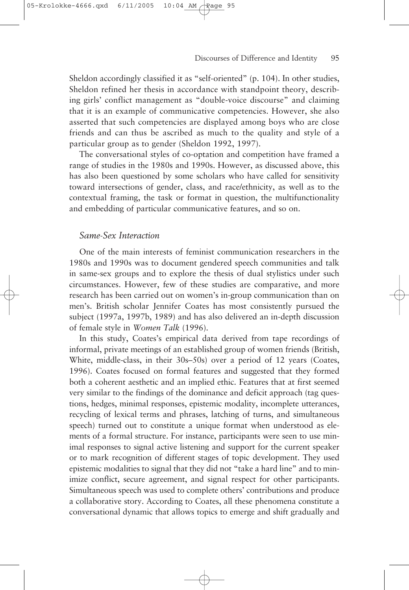Sheldon accordingly classified it as "self-oriented" (p. 104). In other studies, Sheldon refined her thesis in accordance with standpoint theory, describing girls' conflict management as "double-voice discourse" and claiming that it is an example of communicative competencies. However, she also asserted that such competencies are displayed among boys who are close friends and can thus be ascribed as much to the quality and style of a particular group as to gender (Sheldon 1992, 1997).

The conversational styles of co-optation and competition have framed a range of studies in the 1980s and 1990s. However, as discussed above, this has also been questioned by some scholars who have called for sensitivity toward intersections of gender, class, and race/ethnicity, as well as to the contextual framing, the task or format in question, the multifunctionality and embedding of particular communicative features, and so on.

#### *Same-Sex Interaction*

6/11/2005

One of the main interests of feminist communication researchers in the 1980s and 1990s was to document gendered speech communities and talk in same-sex groups and to explore the thesis of dual stylistics under such circumstances. However, few of these studies are comparative, and more research has been carried out on women's in-group communication than on men's. British scholar Jennifer Coates has most consistently pursued the subject (1997a, 1997b, 1989) and has also delivered an in-depth discussion of female style in *Women Talk* (1996).

In this study, Coates's empirical data derived from tape recordings of informal, private meetings of an established group of women friends (British, White, middle-class, in their 30s–50s) over a period of 12 years (Coates, 1996). Coates focused on formal features and suggested that they formed both a coherent aesthetic and an implied ethic. Features that at first seemed very similar to the findings of the dominance and deficit approach (tag questions, hedges, minimal responses, epistemic modality, incomplete utterances, recycling of lexical terms and phrases, latching of turns, and simultaneous speech) turned out to constitute a unique format when understood as elements of a formal structure. For instance, participants were seen to use minimal responses to signal active listening and support for the current speaker or to mark recognition of different stages of topic development. They used epistemic modalities to signal that they did not "take a hard line" and to minimize conflict, secure agreement, and signal respect for other participants. Simultaneous speech was used to complete others' contributions and produce a collaborative story. According to Coates, all these phenomena constitute a conversational dynamic that allows topics to emerge and shift gradually and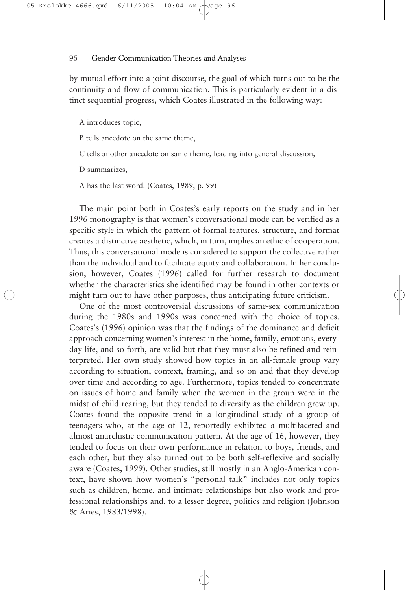by mutual effort into a joint discourse, the goal of which turns out to be the continuity and flow of communication. This is particularly evident in a distinct sequential progress, which Coates illustrated in the following way:

A introduces topic,

B tells anecdote on the same theme,

C tells another anecdote on same theme, leading into general discussion,

D summarizes,

A has the last word. (Coates, 1989, p. 99)

The main point both in Coates's early reports on the study and in her 1996 monography is that women's conversational mode can be verified as a specific style in which the pattern of formal features, structure, and format creates a distinctive aesthetic, which, in turn, implies an ethic of cooperation. Thus, this conversational mode is considered to support the collective rather than the individual and to facilitate equity and collaboration. In her conclusion, however, Coates (1996) called for further research to document whether the characteristics she identified may be found in other contexts or might turn out to have other purposes, thus anticipating future criticism.

One of the most controversial discussions of same-sex communication during the 1980s and 1990s was concerned with the choice of topics. Coates's (1996) opinion was that the findings of the dominance and deficit approach concerning women's interest in the home, family, emotions, everyday life, and so forth, are valid but that they must also be refined and reinterpreted. Her own study showed how topics in an all-female group vary according to situation, context, framing, and so on and that they develop over time and according to age. Furthermore, topics tended to concentrate on issues of home and family when the women in the group were in the midst of child rearing, but they tended to diversify as the children grew up. Coates found the opposite trend in a longitudinal study of a group of teenagers who, at the age of 12, reportedly exhibited a multifaceted and almost anarchistic communication pattern. At the age of 16, however, they tended to focus on their own performance in relation to boys, friends, and each other, but they also turned out to be both self-reflexive and socially aware (Coates, 1999). Other studies, still mostly in an Anglo-American context, have shown how women's "personal talk" includes not only topics such as children, home, and intimate relationships but also work and professional relationships and, to a lesser degree, politics and religion (Johnson & Aries, 1983/1998).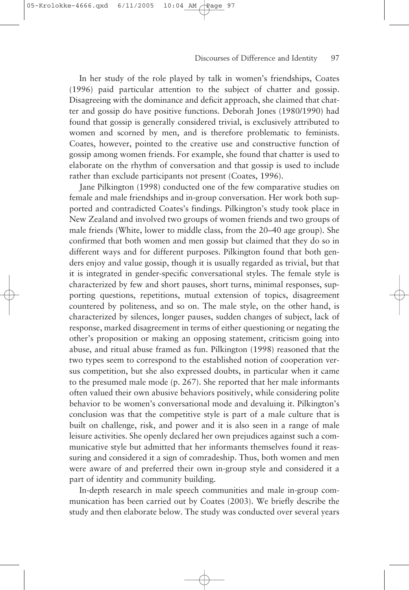In her study of the role played by talk in women's friendships, Coates (1996) paid particular attention to the subject of chatter and gossip. Disagreeing with the dominance and deficit approach, she claimed that chatter and gossip do have positive functions. Deborah Jones (1980/1990) had found that gossip is generally considered trivial, is exclusively attributed to women and scorned by men, and is therefore problematic to feminists. Coates, however, pointed to the creative use and constructive function of gossip among women friends. For example, she found that chatter is used to elaborate on the rhythm of conversation and that gossip is used to include rather than exclude participants not present (Coates, 1996).

05-Krolokke-4666.qxd 6/11/2005

Jane Pilkington (1998) conducted one of the few comparative studies on female and male friendships and in-group conversation. Her work both supported and contradicted Coates's findings. Pilkington's study took place in New Zealand and involved two groups of women friends and two groups of male friends (White, lower to middle class, from the 20–40 age group). She confirmed that both women and men gossip but claimed that they do so in different ways and for different purposes. Pilkington found that both genders enjoy and value gossip, though it is usually regarded as trivial, but that it is integrated in gender-specific conversational styles. The female style is characterized by few and short pauses, short turns, minimal responses, supporting questions, repetitions, mutual extension of topics, disagreement countered by politeness, and so on. The male style, on the other hand, is characterized by silences, longer pauses, sudden changes of subject, lack of response, marked disagreement in terms of either questioning or negating the other's proposition or making an opposing statement, criticism going into abuse, and ritual abuse framed as fun. Pilkington (1998) reasoned that the two types seem to correspond to the established notion of cooperation versus competition, but she also expressed doubts, in particular when it came to the presumed male mode (p. 267). She reported that her male informants often valued their own abusive behaviors positively, while considering polite behavior to be women's conversational mode and devaluing it. Pilkington's conclusion was that the competitive style is part of a male culture that is built on challenge, risk, and power and it is also seen in a range of male leisure activities. She openly declared her own prejudices against such a communicative style but admitted that her informants themselves found it reassuring and considered it a sign of comradeship. Thus, both women and men were aware of and preferred their own in-group style and considered it a part of identity and community building.

In-depth research in male speech communities and male in-group communication has been carried out by Coates (2003). We briefly describe the study and then elaborate below. The study was conducted over several years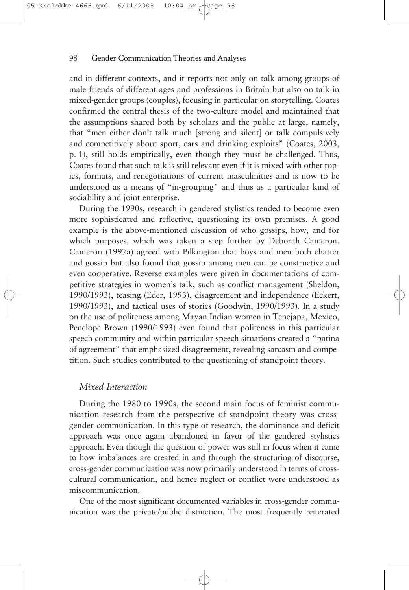and in different contexts, and it reports not only on talk among groups of male friends of different ages and professions in Britain but also on talk in mixed-gender groups (couples), focusing in particular on storytelling. Coates confirmed the central thesis of the two-culture model and maintained that the assumptions shared both by scholars and the public at large, namely, that "men either don't talk much [strong and silent] or talk compulsively and competitively about sport, cars and drinking exploits" (Coates, 2003, p. 1), still holds empirically, even though they must be challenged. Thus, Coates found that such talk is still relevant even if it is mixed with other topics, formats, and renegotiations of current masculinities and is now to be understood as a means of "in-grouping" and thus as a particular kind of sociability and joint enterprise.

During the 1990s, research in gendered stylistics tended to become even more sophisticated and reflective, questioning its own premises. A good example is the above-mentioned discussion of who gossips, how, and for which purposes, which was taken a step further by Deborah Cameron. Cameron (1997a) agreed with Pilkington that boys and men both chatter and gossip but also found that gossip among men can be constructive and even cooperative. Reverse examples were given in documentations of competitive strategies in women's talk, such as conflict management (Sheldon, 1990/1993), teasing (Eder, 1993), disagreement and independence (Eckert, 1990/1993), and tactical uses of stories (Goodwin, 1990/1993). In a study on the use of politeness among Mayan Indian women in Tenejapa, Mexico, Penelope Brown (1990/1993) even found that politeness in this particular speech community and within particular speech situations created a "patina of agreement" that emphasized disagreement, revealing sarcasm and competition. Such studies contributed to the questioning of standpoint theory.

#### *Mixed Interaction*

During the 1980 to 1990s, the second main focus of feminist communication research from the perspective of standpoint theory was crossgender communication. In this type of research, the dominance and deficit approach was once again abandoned in favor of the gendered stylistics approach. Even though the question of power was still in focus when it came to how imbalances are created in and through the structuring of discourse, cross-gender communication was now primarily understood in terms of crosscultural communication, and hence neglect or conflict were understood as miscommunication.

One of the most significant documented variables in cross-gender communication was the private/public distinction. The most frequently reiterated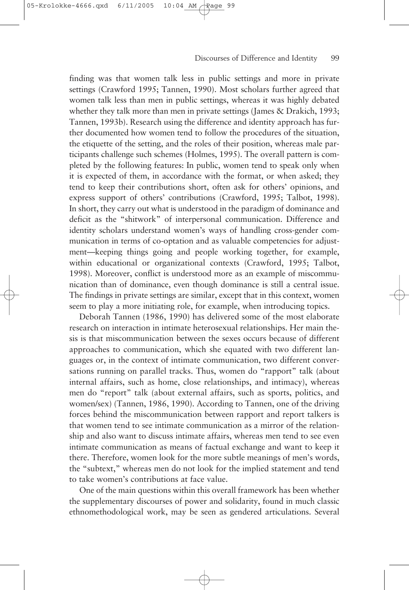finding was that women talk less in public settings and more in private settings (Crawford 1995; Tannen, 1990). Most scholars further agreed that women talk less than men in public settings, whereas it was highly debated whether they talk more than men in private settings (James & Drakich, 1993; Tannen, 1993b). Research using the difference and identity approach has further documented how women tend to follow the procedures of the situation, the etiquette of the setting, and the roles of their position, whereas male participants challenge such schemes (Holmes, 1995). The overall pattern is completed by the following features: In public, women tend to speak only when it is expected of them, in accordance with the format, or when asked; they tend to keep their contributions short, often ask for others' opinions, and express support of others' contributions (Crawford, 1995; Talbot, 1998). In short, they carry out what is understood in the paradigm of dominance and deficit as the "shitwork" of interpersonal communication. Difference and identity scholars understand women's ways of handling cross-gender communication in terms of co-optation and as valuable competencies for adjustment—keeping things going and people working together, for example, within educational or organizational contexts (Crawford, 1995; Talbot, 1998). Moreover, conflict is understood more as an example of miscommunication than of dominance, even though dominance is still a central issue. The findings in private settings are similar, except that in this context, women seem to play a more initiating role, for example, when introducing topics.

05-Krolokke-4666.qxd 6/11/2005

Deborah Tannen (1986, 1990) has delivered some of the most elaborate research on interaction in intimate heterosexual relationships. Her main thesis is that miscommunication between the sexes occurs because of different approaches to communication, which she equated with two different languages or, in the context of intimate communication, two different conversations running on parallel tracks. Thus, women do "rapport" talk (about internal affairs, such as home, close relationships, and intimacy), whereas men do "report" talk (about external affairs, such as sports, politics, and women/sex) (Tannen, 1986, 1990). According to Tannen, one of the driving forces behind the miscommunication between rapport and report talkers is that women tend to see intimate communication as a mirror of the relationship and also want to discuss intimate affairs, whereas men tend to see even intimate communication as means of factual exchange and want to keep it there. Therefore, women look for the more subtle meanings of men's words, the "subtext," whereas men do not look for the implied statement and tend to take women's contributions at face value.

One of the main questions within this overall framework has been whether the supplementary discourses of power and solidarity, found in much classic ethnomethodological work, may be seen as gendered articulations. Several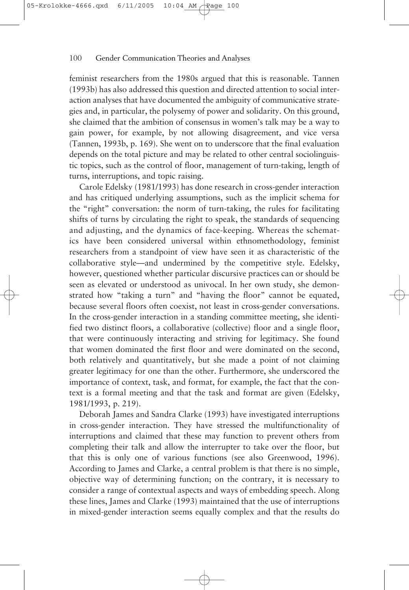feminist researchers from the 1980s argued that this is reasonable. Tannen (1993b) has also addressed this question and directed attention to social interaction analyses that have documented the ambiguity of communicative strategies and, in particular, the polysemy of power and solidarity. On this ground, she claimed that the ambition of consensus in women's talk may be a way to gain power, for example, by not allowing disagreement, and vice versa (Tannen, 1993b, p. 169). She went on to underscore that the final evaluation depends on the total picture and may be related to other central sociolinguistic topics, such as the control of floor, management of turn-taking, length of turns, interruptions, and topic raising.

Carole Edelsky (1981/1993) has done research in cross-gender interaction and has critiqued underlying assumptions, such as the implicit schema for the "right" conversation: the norm of turn-taking, the rules for facilitating shifts of turns by circulating the right to speak, the standards of sequencing and adjusting, and the dynamics of face-keeping. Whereas the schematics have been considered universal within ethnomethodology, feminist researchers from a standpoint of view have seen it as characteristic of the collaborative style—and undermined by the competitive style. Edelsky, however, questioned whether particular discursive practices can or should be seen as elevated or understood as univocal. In her own study, she demonstrated how "taking a turn" and "having the floor" cannot be equated, because several floors often coexist, not least in cross-gender conversations. In the cross-gender interaction in a standing committee meeting, she identified two distinct floors, a collaborative (collective) floor and a single floor, that were continuously interacting and striving for legitimacy. She found that women dominated the first floor and were dominated on the second, both relatively and quantitatively, but she made a point of not claiming greater legitimacy for one than the other. Furthermore, she underscored the importance of context, task, and format, for example, the fact that the context is a formal meeting and that the task and format are given (Edelsky, 1981/1993, p. 219).

Deborah James and Sandra Clarke (1993) have investigated interruptions in cross-gender interaction. They have stressed the multifunctionality of interruptions and claimed that these may function to prevent others from completing their talk and allow the interrupter to take over the floor, but that this is only one of various functions (see also Greenwood, 1996). According to James and Clarke, a central problem is that there is no simple, objective way of determining function; on the contrary, it is necessary to consider a range of contextual aspects and ways of embedding speech. Along these lines, James and Clarke (1993) maintained that the use of interruptions in mixed-gender interaction seems equally complex and that the results do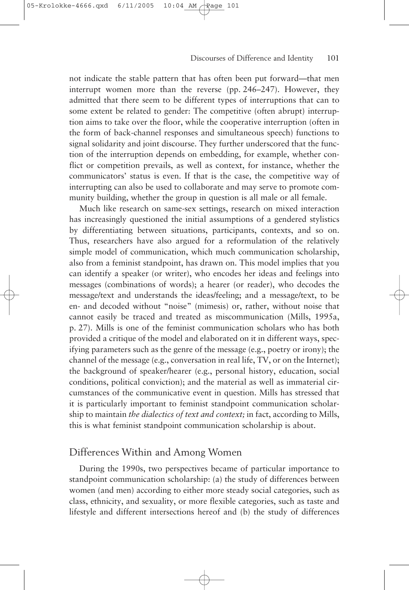not indicate the stable pattern that has often been put forward—that men interrupt women more than the reverse (pp. 246–247). However, they admitted that there seem to be different types of interruptions that can to some extent be related to gender: The competitive (often abrupt) interruption aims to take over the floor, while the cooperative interruption (often in the form of back-channel responses and simultaneous speech) functions to signal solidarity and joint discourse. They further underscored that the function of the interruption depends on embedding, for example, whether conflict or competition prevails, as well as context, for instance, whether the communicators' status is even. If that is the case, the competitive way of interrupting can also be used to collaborate and may serve to promote community building, whether the group in question is all male or all female.

05-Krolokke-4666.qxd 6/11/2005 10:04 AM Rage 101

Much like research on same-sex settings, research on mixed interaction has increasingly questioned the initial assumptions of a gendered stylistics by differentiating between situations, participants, contexts, and so on. Thus, researchers have also argued for a reformulation of the relatively simple model of communication, which much communication scholarship, also from a feminist standpoint, has drawn on. This model implies that you can identify a speaker (or writer), who encodes her ideas and feelings into messages (combinations of words); a hearer (or reader), who decodes the message/text and understands the ideas/feeling; and a message/text, to be en- and decoded without "noise" (mimesis) or, rather, without noise that cannot easily be traced and treated as miscommunication (Mills, 1995a, p. 27). Mills is one of the feminist communication scholars who has both provided a critique of the model and elaborated on it in different ways, specifying parameters such as the genre of the message (e.g., poetry or irony); the channel of the message (e.g., conversation in real life, TV, or on the Internet); the background of speaker/hearer (e.g., personal history, education, social conditions, political conviction); and the material as well as immaterial circumstances of the communicative event in question. Mills has stressed that it is particularly important to feminist standpoint communication scholarship to maintain *the dialectics of text and context;* in fact, according to Mills, this is what feminist standpoint communication scholarship is about.

#### Differences Within and Among Women

During the 1990s, two perspectives became of particular importance to standpoint communication scholarship: (a) the study of differences between women (and men) according to either more steady social categories, such as class, ethnicity, and sexuality, or more flexible categories, such as taste and lifestyle and different intersections hereof and (b) the study of differences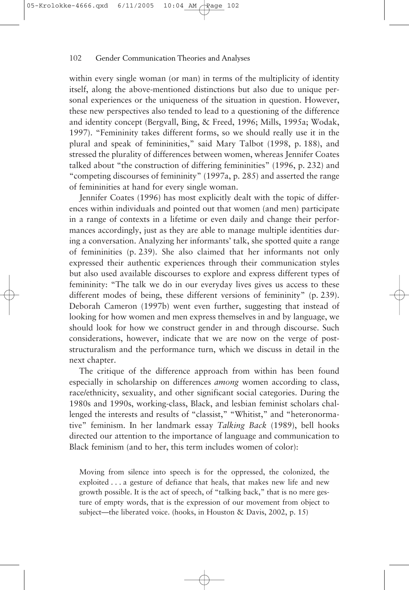within every single woman (or man) in terms of the multiplicity of identity itself, along the above-mentioned distinctions but also due to unique personal experiences or the uniqueness of the situation in question. However, these new perspectives also tended to lead to a questioning of the difference and identity concept (Bergvall, Bing, & Freed, 1996; Mills, 1995a; Wodak, 1997). "Femininity takes different forms, so we should really use it in the plural and speak of femininities," said Mary Talbot (1998, p. 188), and stressed the plurality of differences between women, whereas Jennifer Coates talked about "the construction of differing femininities" (1996, p. 232) and "competing discourses of femininity" (1997a, p. 285) and asserted the range of femininities at hand for every single woman.

Jennifer Coates (1996) has most explicitly dealt with the topic of differences within individuals and pointed out that women (and men) participate in a range of contexts in a lifetime or even daily and change their performances accordingly, just as they are able to manage multiple identities during a conversation. Analyzing her informants' talk, she spotted quite a range of femininities (p. 239). She also claimed that her informants not only expressed their authentic experiences through their communication styles but also used available discourses to explore and express different types of femininity: "The talk we do in our everyday lives gives us access to these different modes of being, these different versions of femininity" (p. 239). Deborah Cameron (1997b) went even further, suggesting that instead of looking for how women and men express themselves in and by language, we should look for how we construct gender in and through discourse. Such considerations, however, indicate that we are now on the verge of poststructuralism and the performance turn, which we discuss in detail in the next chapter.

The critique of the difference approach from within has been found especially in scholarship on differences *among* women according to class, race/ethnicity, sexuality, and other significant social categories. During the 1980s and 1990s, working-class, Black, and lesbian feminist scholars challenged the interests and results of "classist," "Whitist," and "heteronormative" feminism. In her landmark essay *Talking Back* (1989), bell hooks directed our attention to the importance of language and communication to Black feminism (and to her, this term includes women of color):

Moving from silence into speech is for the oppressed, the colonized, the exploited . . . a gesture of defiance that heals, that makes new life and new growth possible. It is the act of speech, of "talking back," that is no mere gesture of empty words, that is the expression of our movement from object to subject—the liberated voice. (hooks, in Houston & Davis, 2002, p. 15)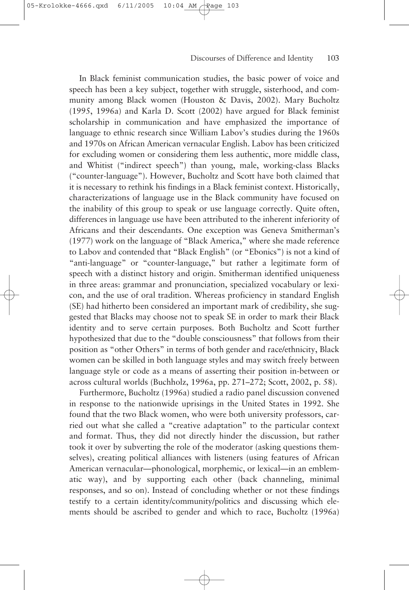In Black feminist communication studies, the basic power of voice and speech has been a key subject, together with struggle, sisterhood, and community among Black women (Houston & Davis, 2002). Mary Bucholtz (1995, 1996a) and Karla D. Scott (2002) have argued for Black feminist scholarship in communication and have emphasized the importance of language to ethnic research since William Labov's studies during the 1960s and 1970s on African American vernacular English. Labov has been criticized for excluding women or considering them less authentic, more middle class, and Whitist ("indirect speech") than young, male, working-class Blacks ("counter-language"). However, Bucholtz and Scott have both claimed that it is necessary to rethink his findings in a Black feminist context. Historically, characterizations of language use in the Black community have focused on the inability of this group to speak or use language correctly. Quite often, differences in language use have been attributed to the inherent inferiority of Africans and their descendants. One exception was Geneva Smitherman's (1977) work on the language of "Black America," where she made reference to Labov and contended that "Black English" (or "Ebonics") is not a kind of "anti-language" or "counter-language," but rather a legitimate form of speech with a distinct history and origin. Smitherman identified uniqueness in three areas: grammar and pronunciation, specialized vocabulary or lexicon, and the use of oral tradition. Whereas proficiency in standard English (SE) had hitherto been considered an important mark of credibility, she suggested that Blacks may choose not to speak SE in order to mark their Black identity and to serve certain purposes. Both Bucholtz and Scott further hypothesized that due to the "double consciousness" that follows from their position as "other Others" in terms of both gender and race/ethnicity, Black women can be skilled in both language styles and may switch freely between language style or code as a means of asserting their position in-between or across cultural worlds (Buchholz, 1996a, pp. 271–272; Scott, 2002, p. 58).

05-Krolokke-4666.qxd 6/11/2005 10:04 AM Rage 103

Furthermore, Bucholtz (1996a) studied a radio panel discussion convened in response to the nationwide uprisings in the United States in 1992. She found that the two Black women, who were both university professors, carried out what she called a "creative adaptation" to the particular context and format. Thus, they did not directly hinder the discussion, but rather took it over by subverting the role of the moderator (asking questions themselves), creating political alliances with listeners (using features of African American vernacular—phonological, morphemic, or lexical—in an emblematic way), and by supporting each other (back channeling, minimal responses, and so on). Instead of concluding whether or not these findings testify to a certain identity/community/politics and discussing which elements should be ascribed to gender and which to race, Bucholtz (1996a)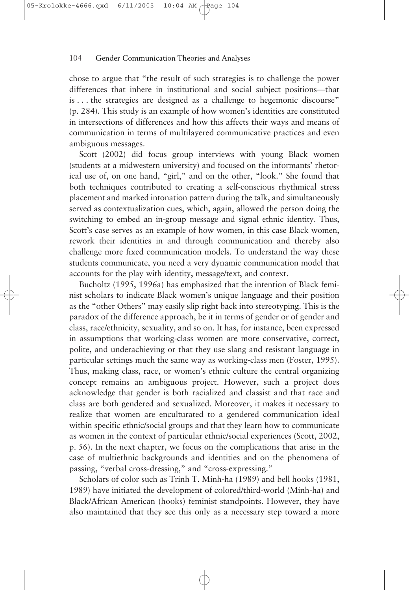chose to argue that "the result of such strategies is to challenge the power differences that inhere in institutional and social subject positions—that is . . . the strategies are designed as a challenge to hegemonic discourse" (p. 284). This study is an example of how women's identities are constituted in intersections of differences and how this affects their ways and means of communication in terms of multilayered communicative practices and even ambiguous messages.

Scott (2002) did focus group interviews with young Black women (students at a midwestern university) and focused on the informants' rhetorical use of, on one hand, "girl," and on the other, "look." She found that both techniques contributed to creating a self-conscious rhythmical stress placement and marked intonation pattern during the talk, and simultaneously served as contextualization cues, which, again, allowed the person doing the switching to embed an in-group message and signal ethnic identity. Thus, Scott's case serves as an example of how women, in this case Black women, rework their identities in and through communication and thereby also challenge more fixed communication models. To understand the way these students communicate, you need a very dynamic communication model that accounts for the play with identity, message/text, and context.

Bucholtz (1995, 1996a) has emphasized that the intention of Black feminist scholars to indicate Black women's unique language and their position as the "other Others" may easily slip right back into stereotyping. This is the paradox of the difference approach, be it in terms of gender or of gender and class, race/ethnicity, sexuality, and so on. It has, for instance, been expressed in assumptions that working-class women are more conservative, correct, polite, and underachieving or that they use slang and resistant language in particular settings much the same way as working-class men (Foster, 1995). Thus, making class, race, or women's ethnic culture the central organizing concept remains an ambiguous project. However, such a project does acknowledge that gender is both racialized and classist and that race and class are both gendered and sexualized. Moreover, it makes it necessary to realize that women are enculturated to a gendered communication ideal within specific ethnic/social groups and that they learn how to communicate as women in the context of particular ethnic/social experiences (Scott, 2002, p. 56). In the next chapter, we focus on the complications that arise in the case of multiethnic backgrounds and identities and on the phenomena of passing, "verbal cross-dressing," and "cross-expressing."

Scholars of color such as Trinh T. Minh-ha (1989) and bell hooks (1981, 1989) have initiated the development of colored/third-world (Minh-ha) and Black/African American (hooks) feminist standpoints. However, they have also maintained that they see this only as a necessary step toward a more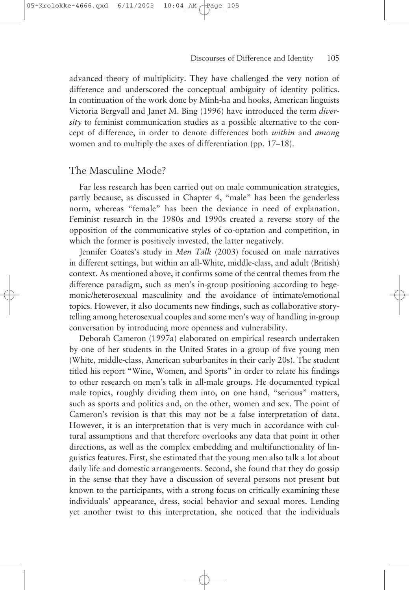advanced theory of multiplicity. They have challenged the very notion of difference and underscored the conceptual ambiguity of identity politics. In continuation of the work done by Minh-ha and hooks, American linguists Victoria Bergvall and Janet M. Bing (1996) have introduced the term *diversity* to feminist communication studies as a possible alternative to the concept of difference, in order to denote differences both *within* and *among* women and to multiply the axes of differentiation (pp. 17–18).

# The Masculine Mode?

Far less research has been carried out on male communication strategies, partly because, as discussed in Chapter 4, "male" has been the genderless norm, whereas "female" has been the deviance in need of explanation. Feminist research in the 1980s and 1990s created a reverse story of the opposition of the communicative styles of co-optation and competition, in which the former is positively invested, the latter negatively.

Jennifer Coates's study in *Men Talk* (2003) focused on male narratives in different settings, but within an all-White, middle-class, and adult (British) context. As mentioned above, it confirms some of the central themes from the difference paradigm, such as men's in-group positioning according to hegemonic/heterosexual masculinity and the avoidance of intimate/emotional topics. However, it also documents new findings, such as collaborative storytelling among heterosexual couples and some men's way of handling in-group conversation by introducing more openness and vulnerability.

Deborah Cameron (1997a) elaborated on empirical research undertaken by one of her students in the United States in a group of five young men (White, middle-class, American suburbanites in their early 20s). The student titled his report "Wine, Women, and Sports" in order to relate his findings to other research on men's talk in all-male groups. He documented typical male topics, roughly dividing them into, on one hand, "serious" matters, such as sports and politics and, on the other, women and sex. The point of Cameron's revision is that this may not be a false interpretation of data. However, it is an interpretation that is very much in accordance with cultural assumptions and that therefore overlooks any data that point in other directions, as well as the complex embedding and multifunctionality of linguistics features. First, she estimated that the young men also talk a lot about daily life and domestic arrangements. Second, she found that they do gossip in the sense that they have a discussion of several persons not present but known to the participants, with a strong focus on critically examining these individuals' appearance, dress, social behavior and sexual mores. Lending yet another twist to this interpretation, she noticed that the individuals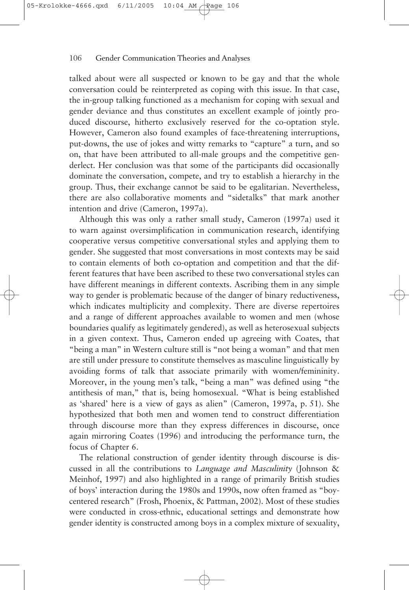talked about were all suspected or known to be gay and that the whole conversation could be reinterpreted as coping with this issue. In that case, the in-group talking functioned as a mechanism for coping with sexual and gender deviance and thus constitutes an excellent example of jointly produced discourse, hitherto exclusively reserved for the co-optation style. However, Cameron also found examples of face-threatening interruptions, put-downs, the use of jokes and witty remarks to "capture" a turn, and so on, that have been attributed to all-male groups and the competitive genderlect. Her conclusion was that some of the participants did occasionally dominate the conversation, compete, and try to establish a hierarchy in the group. Thus, their exchange cannot be said to be egalitarian. Nevertheless, there are also collaborative moments and "sidetalks" that mark another intention and drive (Cameron, 1997a).

Although this was only a rather small study, Cameron (1997a) used it to warn against oversimplification in communication research, identifying cooperative versus competitive conversational styles and applying them to gender. She suggested that most conversations in most contexts may be said to contain elements of both co-optation and competition and that the different features that have been ascribed to these two conversational styles can have different meanings in different contexts. Ascribing them in any simple way to gender is problematic because of the danger of binary reductiveness, which indicates multiplicity and complexity. There are diverse repertoires and a range of different approaches available to women and men (whose boundaries qualify as legitimately gendered), as well as heterosexual subjects in a given context. Thus, Cameron ended up agreeing with Coates, that "being a man" in Western culture still is "not being a woman" and that men are still under pressure to constitute themselves as masculine linguistically by avoiding forms of talk that associate primarily with women/femininity. Moreover, in the young men's talk, "being a man" was defined using "the antithesis of man," that is, being homosexual. "What is being established as 'shared' here is a view of gays as alien" (Cameron, 1997a, p. 51). She hypothesized that both men and women tend to construct differentiation through discourse more than they express differences in discourse, once again mirroring Coates (1996) and introducing the performance turn, the focus of Chapter 6.

The relational construction of gender identity through discourse is discussed in all the contributions to *Language and Masculinity* (Johnson & Meinhof, 1997) and also highlighted in a range of primarily British studies of boys' interaction during the 1980s and 1990s, now often framed as "boycentered research" (Frosh, Phoenix, & Pattman, 2002). Most of these studies were conducted in cross-ethnic, educational settings and demonstrate how gender identity is constructed among boys in a complex mixture of sexuality,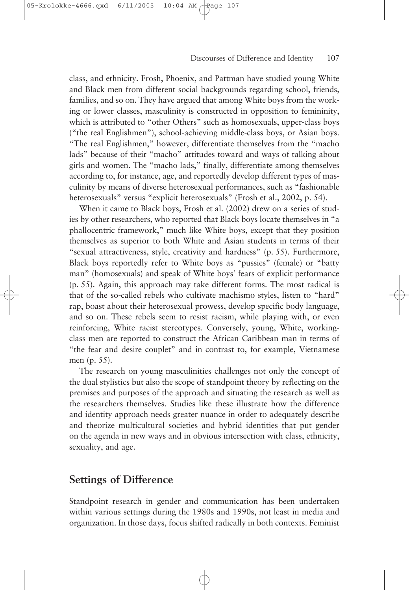class, and ethnicity. Frosh, Phoenix, and Pattman have studied young White and Black men from different social backgrounds regarding school, friends, families, and so on. They have argued that among White boys from the working or lower classes, masculinity is constructed in opposition to femininity, which is attributed to "other Others" such as homosexuals, upper-class boys ("the real Englishmen"), school-achieving middle-class boys, or Asian boys. "The real Englishmen," however, differentiate themselves from the "macho lads" because of their "macho" attitudes toward and ways of talking about girls and women. The "macho lads," finally, differentiate among themselves according to, for instance, age, and reportedly develop different types of masculinity by means of diverse heterosexual performances, such as "fashionable heterosexuals" versus "explicit heterosexuals" (Frosh et al., 2002, p. 54).

05-Krolokke-4666.qxd 6/11/2005 10:04 AM Rage 107

When it came to Black boys, Frosh et al. (2002) drew on a series of studies by other researchers, who reported that Black boys locate themselves in "a phallocentric framework," much like White boys, except that they position themselves as superior to both White and Asian students in terms of their "sexual attractiveness, style, creativity and hardness" (p. 55). Furthermore, Black boys reportedly refer to White boys as "pussies" (female) or "batty man" (homosexuals) and speak of White boys' fears of explicit performance (p. 55). Again, this approach may take different forms. The most radical is that of the so-called rebels who cultivate machismo styles, listen to "hard" rap, boast about their heterosexual prowess, develop specific body language, and so on. These rebels seem to resist racism, while playing with, or even reinforcing, White racist stereotypes. Conversely, young, White, workingclass men are reported to construct the African Caribbean man in terms of "the fear and desire couplet" and in contrast to, for example, Vietnamese men (p. 55).

The research on young masculinities challenges not only the concept of the dual stylistics but also the scope of standpoint theory by reflecting on the premises and purposes of the approach and situating the research as well as the researchers themselves. Studies like these illustrate how the difference and identity approach needs greater nuance in order to adequately describe and theorize multicultural societies and hybrid identities that put gender on the agenda in new ways and in obvious intersection with class, ethnicity, sexuality, and age.

# **Settings of Difference**

Standpoint research in gender and communication has been undertaken within various settings during the 1980s and 1990s, not least in media and organization. In those days, focus shifted radically in both contexts. Feminist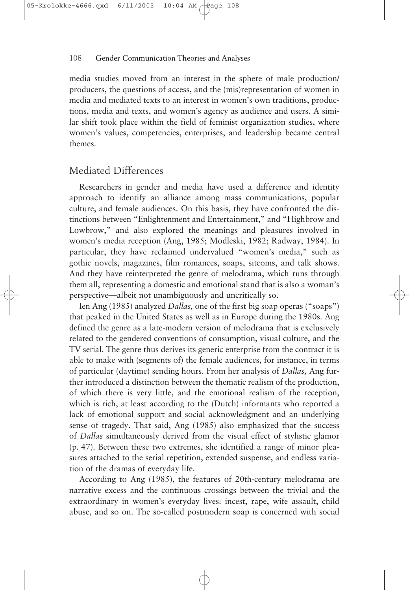media studies moved from an interest in the sphere of male production/ producers, the questions of access, and the (mis)representation of women in media and mediated texts to an interest in women's own traditions, productions, media and texts, and women's agency as audience and users. A similar shift took place within the field of feminist organization studies, where women's values, competencies, enterprises, and leadership became central themes.

# Mediated Differences

Researchers in gender and media have used a difference and identity approach to identify an alliance among mass communications, popular culture, and female audiences. On this basis, they have confronted the distinctions between "Enlightenment and Entertainment," and "Highbrow and Lowbrow," and also explored the meanings and pleasures involved in women's media reception (Ang, 1985; Modleski, 1982; Radway, 1984). In particular, they have reclaimed undervalued "women's media," such as gothic novels, magazines, film romances, soaps, sitcoms, and talk shows. And they have reinterpreted the genre of melodrama, which runs through them all, representing a domestic and emotional stand that is also a woman's perspective—albeit not unambiguously and uncritically so.

Ien Ang (1985) analyzed *Dallas,* one of the first big soap operas ("soaps") that peaked in the United States as well as in Europe during the 1980s. Ang defined the genre as a late-modern version of melodrama that is exclusively related to the gendered conventions of consumption, visual culture, and the TV serial. The genre thus derives its generic enterprise from the contract it is able to make with (segments of) the female audiences, for instance, in terms of particular (daytime) sending hours. From her analysis of *Dallas,* Ang further introduced a distinction between the thematic realism of the production, of which there is very little, and the emotional realism of the reception, which is rich, at least according to the (Dutch) informants who reported a lack of emotional support and social acknowledgment and an underlying sense of tragedy. That said, Ang (1985) also emphasized that the success of *Dallas* simultaneously derived from the visual effect of stylistic glamor (p. 47). Between these two extremes, she identified a range of minor pleasures attached to the serial repetition, extended suspense, and endless variation of the dramas of everyday life.

According to Ang (1985), the features of 20th-century melodrama are narrative excess and the continuous crossings between the trivial and the extraordinary in women's everyday lives: incest, rape, wife assault, child abuse, and so on. The so-called postmodern soap is concerned with social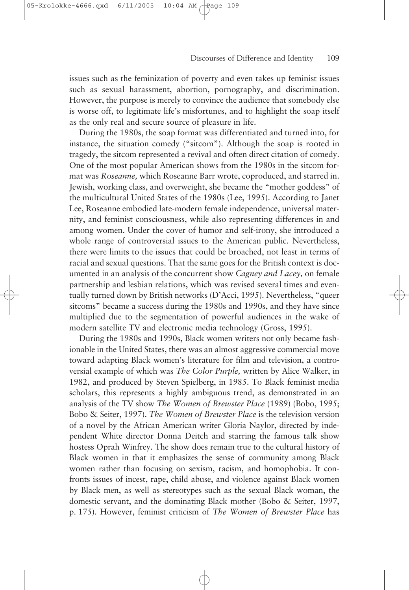issues such as the feminization of poverty and even takes up feminist issues such as sexual harassment, abortion, pornography, and discrimination. However, the purpose is merely to convince the audience that somebody else is worse off, to legitimate life's misfortunes, and to highlight the soap itself as the only real and secure source of pleasure in life.

05-Krolokke-4666.qxd 6/11/2005 10:04 AM Rage 109

During the 1980s, the soap format was differentiated and turned into, for instance, the situation comedy ("sitcom"). Although the soap is rooted in tragedy, the sitcom represented a revival and often direct citation of comedy. One of the most popular American shows from the 1980s in the sitcom format was *Roseanne,* which Roseanne Barr wrote, coproduced, and starred in. Jewish, working class, and overweight, she became the "mother goddess" of the multicultural United States of the 1980s (Lee, 1995). According to Janet Lee, Roseanne embodied late-modern female independence, universal maternity, and feminist consciousness, while also representing differences in and among women. Under the cover of humor and self-irony, she introduced a whole range of controversial issues to the American public. Nevertheless, there were limits to the issues that could be broached, not least in terms of racial and sexual questions. That the same goes for the British context is documented in an analysis of the concurrent show *Cagney and Lacey,* on female partnership and lesbian relations, which was revised several times and eventually turned down by British networks (D'Acci, 1995). Nevertheless, "queer sitcoms" became a success during the 1980s and 1990s, and they have since multiplied due to the segmentation of powerful audiences in the wake of modern satellite TV and electronic media technology (Gross, 1995).

During the 1980s and 1990s, Black women writers not only became fashionable in the United States, there was an almost aggressive commercial move toward adapting Black women's literature for film and television, a controversial example of which was *The Color Purple,* written by Alice Walker, in 1982, and produced by Steven Spielberg, in 1985. To Black feminist media scholars, this represents a highly ambiguous trend, as demonstrated in an analysis of the TV show *The Women of Brewster Place* (1989) (Bobo, 1995; Bobo & Seiter, 1997). *The Women of Brewster Place* is the television version of a novel by the African American writer Gloria Naylor, directed by independent White director Donna Deitch and starring the famous talk show hostess Oprah Winfrey. The show does remain true to the cultural history of Black women in that it emphasizes the sense of community among Black women rather than focusing on sexism, racism, and homophobia. It confronts issues of incest, rape, child abuse, and violence against Black women by Black men, as well as stereotypes such as the sexual Black woman, the domestic servant, and the dominating Black mother (Bobo & Seiter, 1997, p. 175). However, feminist criticism of *The Women of Brewster Place* has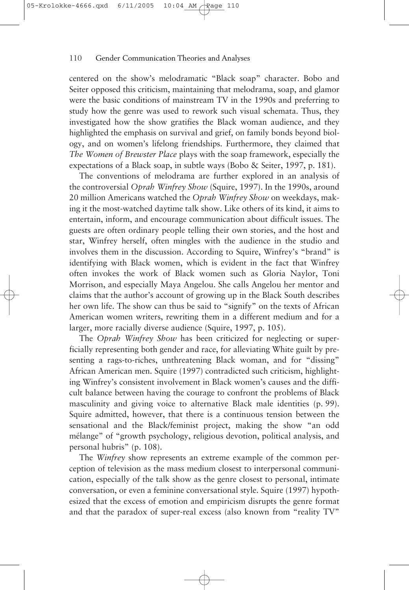centered on the show's melodramatic "Black soap" character. Bobo and Seiter opposed this criticism, maintaining that melodrama, soap, and glamor were the basic conditions of mainstream TV in the 1990s and preferring to study how the genre was used to rework such visual schemata. Thus, they investigated how the show gratifies the Black woman audience, and they highlighted the emphasis on survival and grief, on family bonds beyond biology, and on women's lifelong friendships. Furthermore, they claimed that *The Women of Brewster Place* plays with the soap framework, especially the expectations of a Black soap, in subtle ways (Bobo & Seiter, 1997, p. 181).

The conventions of melodrama are further explored in an analysis of the controversial *Oprah Winfrey Show* (Squire, 1997). In the 1990s, around 20 million Americans watched the *Oprah Winfrey Show* on weekdays, making it the most-watched daytime talk show. Like others of its kind, it aims to entertain, inform, and encourage communication about difficult issues. The guests are often ordinary people telling their own stories, and the host and star, Winfrey herself, often mingles with the audience in the studio and involves them in the discussion. According to Squire, Winfrey's "brand" is identifying with Black women, which is evident in the fact that Winfrey often invokes the work of Black women such as Gloria Naylor, Toni Morrison, and especially Maya Angelou. She calls Angelou her mentor and claims that the author's account of growing up in the Black South describes her own life. The show can thus be said to "signify" on the texts of African American women writers, rewriting them in a different medium and for a larger, more racially diverse audience (Squire, 1997, p. 105).

The *Oprah Winfrey Show* has been criticized for neglecting or superficially representing both gender and race, for alleviating White guilt by presenting a rags-to-riches, unthreatening Black woman, and for "dissing" African American men. Squire (1997) contradicted such criticism, highlighting Winfrey's consistent involvement in Black women's causes and the difficult balance between having the courage to confront the problems of Black masculinity and giving voice to alternative Black male identities (p. 99). Squire admitted, however, that there is a continuous tension between the sensational and the Black/feminist project, making the show "an odd mélange" of "growth psychology, religious devotion, political analysis, and personal hubris" (p. 108).

The *Winfrey* show represents an extreme example of the common perception of television as the mass medium closest to interpersonal communication, especially of the talk show as the genre closest to personal, intimate conversation, or even a feminine conversational style. Squire (1997) hypothesized that the excess of emotion and empiricism disrupts the genre format and that the paradox of super-real excess (also known from "reality TV"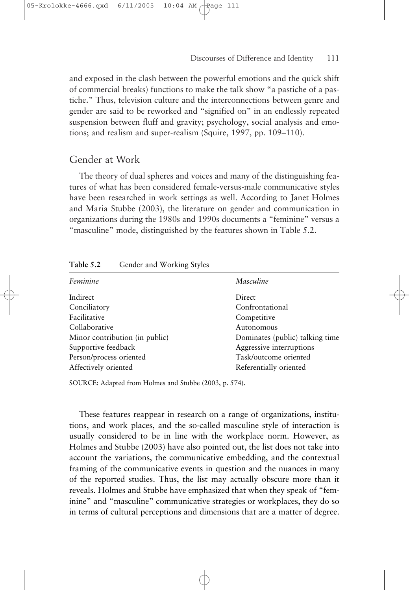and exposed in the clash between the powerful emotions and the quick shift of commercial breaks) functions to make the talk show "a pastiche of a pastiche." Thus, television culture and the interconnections between genre and gender are said to be reworked and "signified on" in an endlessly repeated suspension between fluff and gravity; psychology, social analysis and emotions; and realism and super-realism (Squire, 1997, pp. 109–110).

#### Gender at Work

The theory of dual spheres and voices and many of the distinguishing features of what has been considered female-versus-male communicative styles have been researched in work settings as well. According to Janet Holmes and Maria Stubbe (2003), the literature on gender and communication in organizations during the 1980s and 1990s documents a "feminine" versus a "masculine" mode, distinguished by the features shown in Table 5.2.

| Feminine                       | Masculine                       |  |
|--------------------------------|---------------------------------|--|
| Indirect                       | Direct                          |  |
| Conciliatory                   | Confrontational                 |  |
| Facilitative                   | Competitive                     |  |
| Collaborative                  | Autonomous                      |  |
| Minor contribution (in public) | Dominates (public) talking time |  |
| Supportive feedback            | Aggressive interruptions        |  |
| Person/process oriented        | Task/outcome oriented           |  |
| Affectively oriented           | Referentially oriented          |  |

Table 5.2 Gender and Working Styles

SOURCE: Adapted from Holmes and Stubbe (2003, p. 574).

These features reappear in research on a range of organizations, institutions, and work places, and the so-called masculine style of interaction is usually considered to be in line with the workplace norm. However, as Holmes and Stubbe (2003) have also pointed out, the list does not take into account the variations, the communicative embedding, and the contextual framing of the communicative events in question and the nuances in many of the reported studies. Thus, the list may actually obscure more than it reveals. Holmes and Stubbe have emphasized that when they speak of "feminine" and "masculine" communicative strategies or workplaces, they do so in terms of cultural perceptions and dimensions that are a matter of degree.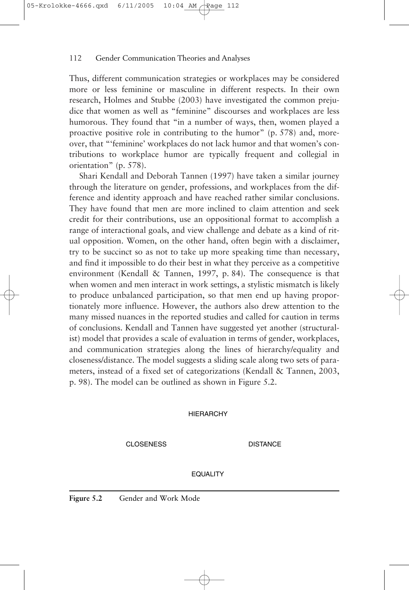Thus, different communication strategies or workplaces may be considered more or less feminine or masculine in different respects. In their own research, Holmes and Stubbe (2003) have investigated the common prejudice that women as well as "feminine" discourses and workplaces are less humorous. They found that "in a number of ways, then, women played a proactive positive role in contributing to the humor" (p. 578) and, moreover, that "'feminine' workplaces do not lack humor and that women's contributions to workplace humor are typically frequent and collegial in orientation" (p. 578).

Shari Kendall and Deborah Tannen (1997) have taken a similar journey through the literature on gender, professions, and workplaces from the difference and identity approach and have reached rather similar conclusions. They have found that men are more inclined to claim attention and seek credit for their contributions, use an oppositional format to accomplish a range of interactional goals, and view challenge and debate as a kind of ritual opposition. Women, on the other hand, often begin with a disclaimer, try to be succinct so as not to take up more speaking time than necessary, and find it impossible to do their best in what they perceive as a competitive environment (Kendall & Tannen, 1997, p. 84). The consequence is that when women and men interact in work settings, a stylistic mismatch is likely to produce unbalanced participation, so that men end up having proportionately more influence. However, the authors also drew attention to the many missed nuances in the reported studies and called for caution in terms of conclusions. Kendall and Tannen have suggested yet another (structuralist) model that provides a scale of evaluation in terms of gender, workplaces, and communication strategies along the lines of hierarchy/equality and closeness/distance. The model suggests a sliding scale along two sets of parameters, instead of a fixed set of categorizations (Kendall & Tannen, 2003, p. 98). The model can be outlined as shown in Figure 5.2.

**HIERARCHY** 

CLOSENESS DISTANCE

EQUALITY

Figure 5.2 Gender and Work Mode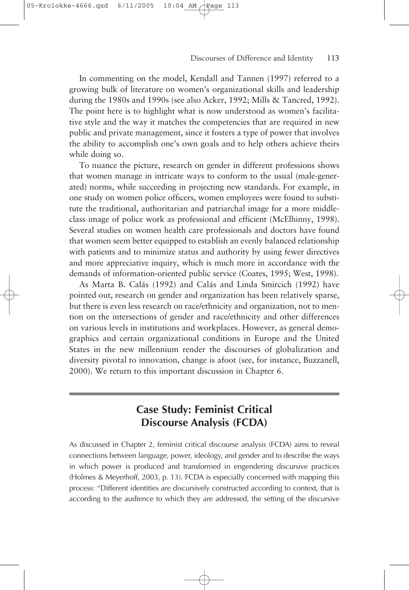In commenting on the model, Kendall and Tannen (1997) referred to a growing bulk of literature on women's organizational skills and leadership during the 1980s and 1990s (see also Acker, 1992; Mills & Tancred, 1992). The point here is to highlight what is now understood as women's facilitative style and the way it matches the competencies that are required in new public and private management, since it fosters a type of power that involves the ability to accomplish one's own goals and to help others achieve theirs while doing so.

05-Krolokke-4666.qxd 6/11/2005 10:04 AM Rage 113

To nuance the picture, research on gender in different professions shows that women manage in intricate ways to conform to the usual (male-generated) norms, while succeeding in projecting new standards. For example, in one study on women police officers, women employees were found to substitute the traditional, authoritarian and patriarchal image for a more middleclass image of police work as professional and efficient (McElhinny, 1998). Several studies on women health care professionals and doctors have found that women seem better equipped to establish an evenly balanced relationship with patients and to minimize status and authority by using fewer directives and more appreciative inquiry, which is much more in accordance with the demands of information-oriented public service (Coates, 1995; West, 1998).

As Marta B. Calás (1992) and Calás and Linda Smircich (1992) have pointed out, research on gender and organization has been relatively sparse, but there is even less research on race/ethnicity and organization, not to mention on the intersections of gender and race/ethnicity and other differences on various levels in institutions and workplaces. However, as general demographics and certain organizational conditions in Europe and the United States in the new millennium render the discourses of globalization and diversity pivotal to innovation, change is afoot (see, for instance, Buzzanell, 2000). We return to this important discussion in Chapter 6.

# **Case Study: Feminist Critical Discourse Analysis (FCDA)**

As discussed in Chapter 2, feminist critical discourse analysis (FCDA) aims to reveal connections between language, power, ideology, and gender and to describe the ways in which power is produced and transformed in engendering discursive practices (Holmes & Meyerhoff, 2003, p. 13). FCDA is especially concerned with mapping this process: "Different identities are discursively constructed according to context, that is according to the audience to which they are addressed, the setting of the discursive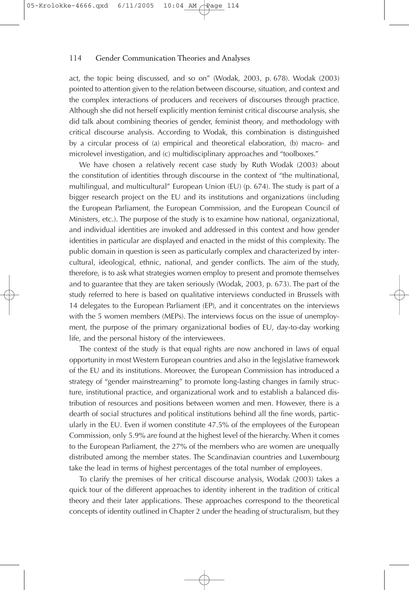act, the topic being discussed, and so on" (Wodak, 2003, p. 678). Wodak (2003) pointed to attention given to the relation between discourse, situation, and context and the complex interactions of producers and receivers of discourses through practice. Although she did not herself explicitly mention feminist critical discourse analysis, she did talk about combining theories of gender, feminist theory, and methodology with critical discourse analysis. According to Wodak, this combination is distinguished by a circular process of (a) empirical and theoretical elaboration, (b) macro- and microlevel investigation, and (c) multidisciplinary approaches and "toolboxes."

We have chosen a relatively recent case study by Ruth Wodak (2003) about the constitution of identities through discourse in the context of "the multinational, multilingual, and multicultural" European Union (EU) (p. 674). The study is part of a bigger research project on the EU and its institutions and organizations (including the European Parliament, the European Commission, and the European Council of Ministers, etc.). The purpose of the study is to examine how national, organizational, and individual identities are invoked and addressed in this context and how gender identities in particular are displayed and enacted in the midst of this complexity. The public domain in question is seen as particularly complex and characterized by intercultural, ideological, ethnic, national, and gender conflicts. The aim of the study, therefore, is to ask what strategies women employ to present and promote themselves and to guarantee that they are taken seriously (Wodak, 2003, p. 673). The part of the study referred to here is based on qualitative interviews conducted in Brussels with 14 delegates to the European Parliament (EP), and it concentrates on the interviews with the 5 women members (MEPs). The interviews focus on the issue of unemployment, the purpose of the primary organizational bodies of EU, day-to-day working life, and the personal history of the interviewees.

The context of the study is that equal rights are now anchored in laws of equal opportunity in most Western European countries and also in the legislative framework of the EU and its institutions. Moreover, the European Commission has introduced a strategy of "gender mainstreaming" to promote long-lasting changes in family structure, institutional practice, and organizational work and to establish a balanced distribution of resources and positions between women and men. However, there is a dearth of social structures and political institutions behind all the fine words, particularly in the EU. Even if women constitute 47.5% of the employees of the European Commission, only 5.9% are found at the highest level of the hierarchy. When it comes to the European Parliament, the 27% of the members who are women are unequally distributed among the member states. The Scandinavian countries and Luxembourg take the lead in terms of highest percentages of the total number of employees.

To clarify the premises of her critical discourse analysis, Wodak (2003) takes a quick tour of the different approaches to identity inherent in the tradition of critical theory and their later applications. These approaches correspond to the theoretical concepts of identity outlined in Chapter 2 under the heading of structuralism, but they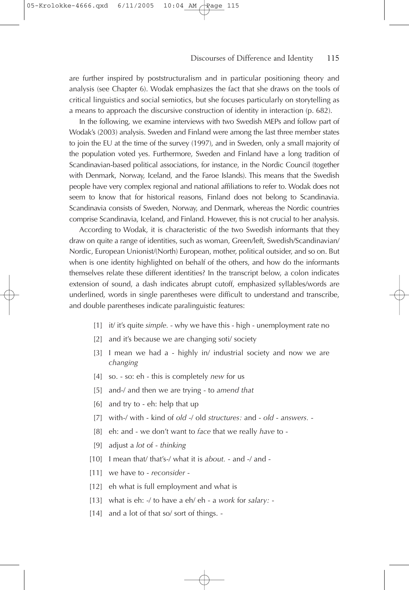are further inspired by poststructuralism and in particular positioning theory and analysis (see Chapter 6). Wodak emphasizes the fact that she draws on the tools of critical linguistics and social semiotics, but she focuses particularly on storytelling as a means to approach the discursive construction of identity in interaction (p. 682).

05-Krolokke-4666.qxd 6/11/2005 10:04 AM Rage 115

In the following, we examine interviews with two Swedish MEPs and follow part of Wodak's (2003) analysis. Sweden and Finland were among the last three member states to join the EU at the time of the survey (1997), and in Sweden, only a small majority of the population voted yes. Furthermore, Sweden and Finland have a long tradition of Scandinavian-based political associations, for instance, in the Nordic Council (together with Denmark, Norway, Iceland, and the Faroe Islands). This means that the Swedish people have very complex regional and national affiliations to refer to. Wodak does not seem to know that for historical reasons, Finland does not belong to Scandinavia. Scandinavia consists of Sweden, Norway, and Denmark, whereas the Nordic countries comprise Scandinavia, Iceland, and Finland. However, this is not crucial to her analysis.

According to Wodak, it is characteristic of the two Swedish informants that they draw on quite a range of identities, such as woman, Green/left, Swedish/Scandinavian/ Nordic, European Unionist/(North) European, mother, political outsider, and so on. But when is one identity highlighted on behalf of the others, and how do the informants themselves relate these different identities? In the transcript below, a colon indicates extension of sound, a dash indicates abrupt cutoff, emphasized syllables/words are underlined, words in single parentheses were difficult to understand and transcribe, and double parentheses indicate paralinguistic features:

- [1] it/ it's quite *simple.* why we have this high unemployment rate no
- [2] and it's because we are changing soti/ society
- [3] I mean we had a highly in/ industrial society and now we are *changing*
- [4] so. so: eh this is completely *new* for us
- [5] and-/ and then we are trying to *amend that*
- [6] and try to eh: help that up
- [7] with-/ with kind of *old* -/ old *structures:* and *old answers.* -
- [8] eh: and we don't want to *face* that we really *have* to -
- [9] adjust a *lot* of *thinking*
- [10] I mean that/ that's-/ what it is *about.* and -/ and -
- [11] we have to *reconsider* -
- [12] eh what is full employment and what is
- [13] what is eh: -/ to have a eh/ eh a *work* for *salary:* -
- [14] and a lot of that so/ sort of things. -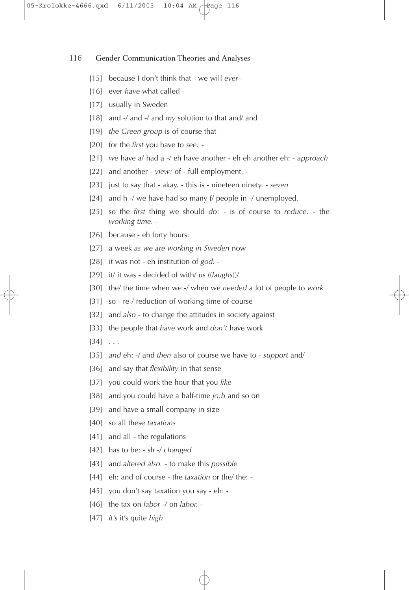- [15] because I don't think that we will *ever* -
- [16] ever *have* what called -
- [17] usually in Sweden
- [18] and -/ and -/ and *my* solution to that and/ and
- [19] *the Green group* is of course that
- [20] for the *first* you have to *see:* -
- [21] *we* have a/ had a -/ eh have another eh eh another eh: *approach*
- [22] and another *view:* of full employment. -
- [23] just to say that akay. this is nineteen ninety. *seven*
- [24] and h -/ we have had so many f/ people in -/ unemployed.
- [25] so the *first* thing we should *do:* is of course to *reduce:* the *working time.* -
- [26] because eh forty hours:
- [27] a week *as we are working in Sweden* now
- [28] it was not eh institution of *god.* -
- [29] it/ it was decided of with/ us ((*laughs*))/
- [30] the/ the time when we -/ when we *needed* a lot of people to *work*
- [31] so re-/ reduction of working time of course
- [32] and *also* to change the attitudes in society against
- [33] the people that *have* work and *don't* have work
- $[34]$  ...
- [35] *and* eh: -/ and *then* also of course we have to *support* and/
- [36] and say that *flexibility* in that sense
- [37] you could work the hour that you *like*
- [38] and you could have a half-time *jo:b* and so on
- [39] and have a small company in size
- [40] so all these *taxations*
- [41] and all the regulations
- [42] has to be: sh -/ *changed*
- [43] and *altered also.* to make this *possible*
- [44] eh: and of course the *taxation* or the/ the: -
- [45] you don't say taxation you say eh: -
- [46] the tax on *labor* -/ on *labor.* -
- [47] *it's* it's quite *high*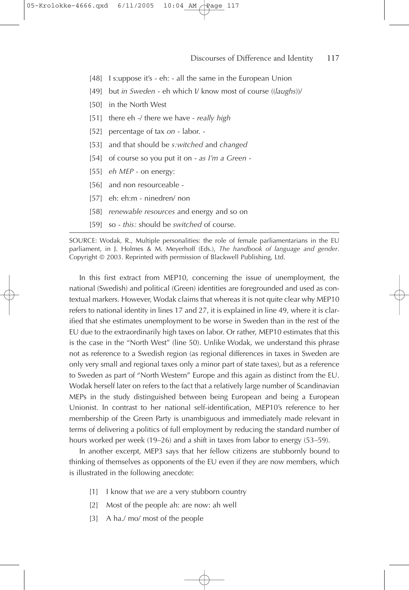- [48] I s:uppose it's eh: all the same in the European Union
- [49] but *in Sweden* eh which I/ know most of course ((*laughs*))/
- [50] in the North West
- [51] there eh -/ there we have *really high*
- [52] percentage of tax *on* labor. -
- [53] and that should be *s:witched* and *changed*
- [54] of course so you put it on *as I'm a Green* -
- [55] *eh MEP* on energy:
- [56] and non resourceable -
- [57] eh: eh:m ninedren/ non
- [58] *renewable resources* and energy and so on
- [59] so *this:* should be *switched* of course.

SOURCE: Wodak, R., Multiple personalities: the role of female parliamentarians in the EU parliament, in J. Holmes & M. Meyerhoff (Eds.), *The handbook of language and gender*. Copyright © 2003. Reprinted with permission of Blackwell Publishing, Ltd.

In this first extract from MEP10, concerning the issue of unemployment, the national (Swedish) and political (Green) identities are foregrounded and used as contextual markers. However, Wodak claims that whereas it is not quite clear why MEP10 refers to national identity in lines 17 and 27, it is explained in line 49, where it is clarified that she estimates unemployment to be worse in Sweden than in the rest of the EU due to the extraordinarily high taxes on labor. Or rather, MEP10 estimates that this is the case in the "North West" (line 50). Unlike Wodak, we understand this phrase not as reference to a Swedish region (as regional differences in taxes in Sweden are only very small and regional taxes only a minor part of state taxes), but as a reference to Sweden as part of "North Western" Europe and this again as distinct from the EU. Wodak herself later on refers to the fact that a relatively large number of Scandinavian MEPs in the study distinguished between being European and being a European Unionist. In contrast to her national self-identification, MEP10's reference to her membership of the Green Party is unambiguous and immediately made relevant in terms of delivering a politics of full employment by reducing the standard number of hours worked per week (19–26) and a shift in taxes from labor to energy (53–59).

In another excerpt, MEP3 says that her fellow citizens are stubbornly bound to thinking of themselves as opponents of the EU even if they are now members, which is illustrated in the following anecdote:

- [1] I know that *we* are a very stubborn country
- [2] Most of the people ah: are now: ah well
- [3] A ha./ mo/ most of the people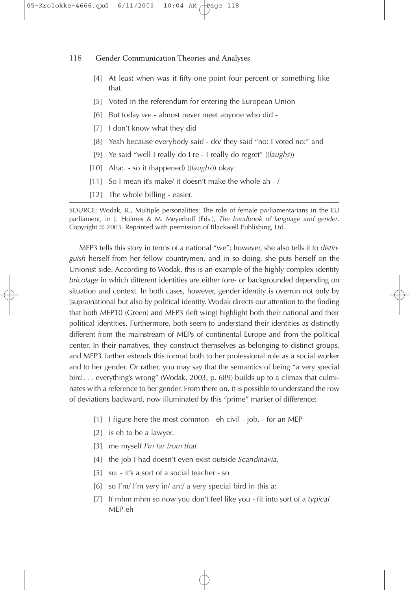- [4] At least when was it fifty-one point four percent or something like that
- [5] Voted in the referendum for entering the European Union
- [6] But today *we* almost never meet anyone who did -
- [7] I don't know what they did
- [8] Yeah because everybody said do/ they said "no: I voted no:" and
- [9] Ye said "well I really do I re I really do regret" ((*laughs*))
- [10] Aha:. so it (happened) ((*laughs*)) okay
- [11] So I mean it's make/ it doesn't make the whole ah /
- [12] The whole billing easier.

SOURCE: Wodak, R., Multiple personalities: The role of female parliamentarians in the EU parliament, in J. Holmes & M. Meyerhoff (Eds.), *The handbook of language and gender*. Copyright © 2003. Reprinted with permission of Blackwell Publishing, Ltd.

MEP3 tells this story in terms of a national "we"; however, she also tells it to *distinguish* herself from her fellow countrymen, and in so doing, she puts herself on the Unionist side. According to Wodak, this is an example of the highly complex identity *bricolage* in which different identities are either fore- or backgrounded depending on situation and context. In both cases, however, gender identity is overrun not only by (supra)national but also by political identity. Wodak directs our attention to the finding that both MEP10 (Green) and MEP3 (left wing) highlight both their national and their political identities. Furthermore, both seem to understand their identities as distinctly different from the mainstream of MEPs of continental Europe and from the political center. In their narratives, they construct themselves as belonging to distinct groups, and MEP3 further extends this format both to her professional role as a social worker and to her gender. Or rather, you may say that the semantics of being "a very special bird . . . everything's wrong" (Wodak, 2003, p. 689) builds up to a climax that culminates with a reference to her gender. From there on, it is possible to understand the row of deviations backward, now illuminated by this "prime" marker of difference:

- [1] I figure here the most common eh civil job. for an MEP
- [2] is eh to be a lawyer.
- [3] me myself *I'm far from that*
- [4] the job I had doesn't even exist outside *Scandinavia.*
- [5] so: it's a sort of a social teacher so
- [6] so I'm/ I'm very in/ an:/ a very special bird in this a:
- [7] If mhm mhm so now you don't feel like you fit into sort of a *typical* MEP eh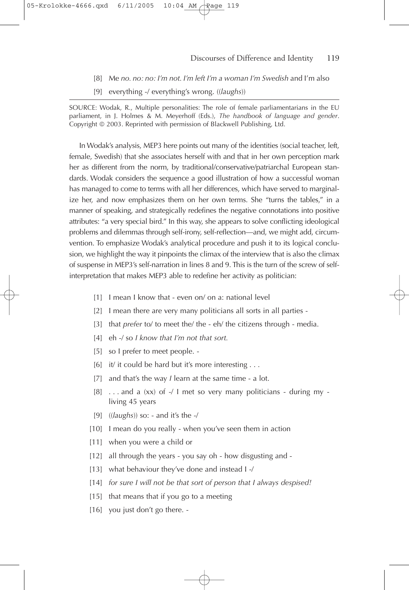- [8] Me *no. no: no: I'm not. I'm left I'm a woman I'm Swedish* and I'm also
- [9] everything -/ everything's wrong. ((*laughs*))

05-Krolokke-4666.qxd 6/11/2005 10:04 AM Rage 119

SOURCE: Wodak, R., Multiple personalities: The role of female parliamentarians in the EU parliament, in J. Holmes & M. Meyerhoff (Eds.), *The handbook of language and gender*. Copyright © 2003. Reprinted with permission of Blackwell Publishing, Ltd.

In Wodak's analysis, MEP3 here points out many of the identities (social teacher, left, female, Swedish) that she associates herself with and that in her own perception mark her as different from the norm, by traditional/conservative/patriarchal European standards. Wodak considers the sequence a good illustration of how a successful woman has managed to come to terms with all her differences, which have served to marginalize her, and now emphasizes them on her own terms. She "turns the tables," in a manner of speaking, and strategically redefines the negative connotations into positive attributes: "a very special bird." In this way, she appears to solve conflicting ideological problems and dilemmas through self-irony, self-reflection—and, we might add, circumvention. To emphasize Wodak's analytical procedure and push it to its logical conclusion, we highlight the way it pinpoints the climax of the interview that is also the climax of suspense in MEP3's self-narration in lines 8 and 9. This is the turn of the screw of selfinterpretation that makes MEP3 able to redefine her activity as politician:

- [1] I mean I know that even on/ on a: national level
- [2] I mean there are very many politicians all sorts in all parties -
- [3] that *prefer* to/ to meet the/ the eh/ the citizens through media.
- [4] eh -/ so *I know that I'm not that sort.*
- [5] so I prefer to meet people. -
- [6] it/ it could be hard but it's more interesting . . .
- [7] and that's the way *I* learn at the same time a lot.
- [8] . . . and a (xx) of -/ I met so very many politicians during my living 45 years
- [9] ((*laughs*)) so: and it's the -/
- [10] I mean do you really when you've seen them in action
- [11] when you were a child or
- [12] all through the years you say oh how disgusting and -
- [13] what behaviour they've done and instead I-/
- [14] *for sure I will not be that sort of person that I always despised!*
- [15] that means that if you go to a meeting
- [16] you just don't go there. -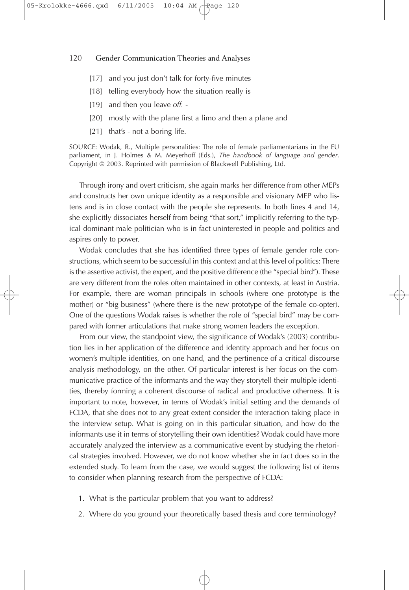- [17] and you just don't talk for forty-five minutes
- [18] telling everybody how the situation really is
- [19] and then you leave *off.* -
- [20] mostly with the plane first a limo and then a plane and
- [21] that's not a boring life.

SOURCE: Wodak, R., Multiple personalities: The role of female parliamentarians in the EU parliament, in J. Holmes & M. Meyerhoff (Eds.), *The handbook of language and gender*. Copyright © 2003. Reprinted with permission of Blackwell Publishing, Ltd.

Through irony and overt criticism, she again marks her difference from other MEPs and constructs her own unique identity as a responsible and visionary MEP who listens and is in close contact with the people she represents. In both lines 4 and 14, she explicitly dissociates herself from being "that sort," implicitly referring to the typical dominant male politician who is in fact uninterested in people and politics and aspires only to power.

Wodak concludes that she has identified three types of female gender role constructions, which seem to be successful in this context and at this level of politics: There is the assertive activist, the expert, and the positive difference (the "special bird"). These are very different from the roles often maintained in other contexts, at least in Austria. For example, there are woman principals in schools (where one prototype is the mother) or "big business" (where there is the new prototype of the female co-opter). One of the questions Wodak raises is whether the role of "special bird" may be compared with former articulations that make strong women leaders the exception.

From our view, the standpoint view, the significance of Wodak's (2003) contribution lies in her application of the difference and identity approach and her focus on women's multiple identities, on one hand, and the pertinence of a critical discourse analysis methodology, on the other. Of particular interest is her focus on the communicative practice of the informants and the way they storytell their multiple identities, thereby forming a coherent discourse of radical and productive otherness. It is important to note, however, in terms of Wodak's initial setting and the demands of FCDA, that she does not to any great extent consider the interaction taking place in the interview setup. What is going on in this particular situation, and how do the informants use it in terms of storytelling their own identities? Wodak could have more accurately analyzed the interview as a communicative event by studying the rhetorical strategies involved. However, we do not know whether she in fact does so in the extended study. To learn from the case, we would suggest the following list of items to consider when planning research from the perspective of FCDA:

- 1. What is the particular problem that you want to address?
- 2. Where do you ground your theoretically based thesis and core terminology?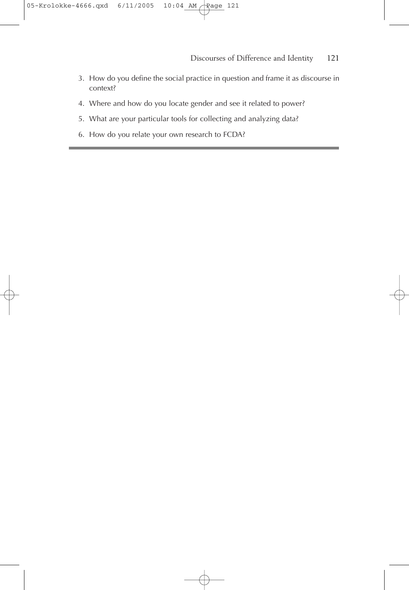- 3. How do you define the social practice in question and frame it as discourse in context?
- 4. Where and how do you locate gender and see it related to power?
- 5. What are your particular tools for collecting and analyzing data?
- 6. How do you relate your own research to FCDA?